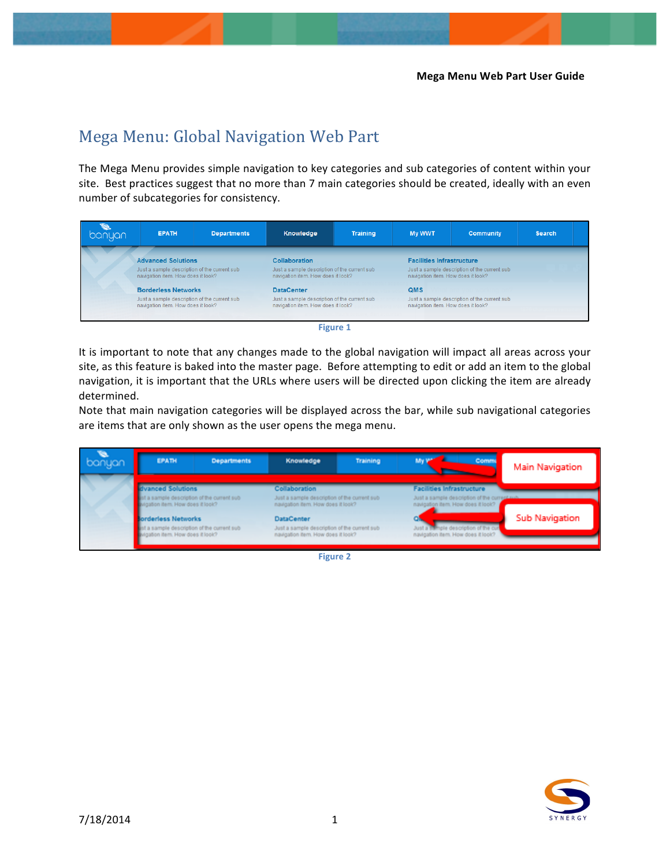## Mega Menu: Global Navigation Web Part

The Mega Menu provides simple navigation to key categories and sub categories of content within your site. Best practices suggest that no more than 7 main categories should be created, ideally with an even number of subcategories for consistency.

| banyan | <b>EPATH</b>                                                                                                                                   | <b>Departments</b> | Knowledge                                                                                                                        | <b>Training</b>          | <b>My WWT</b>                      | <b>Community</b>                                                                                                       | <b>Search</b> |  |  |
|--------|------------------------------------------------------------------------------------------------------------------------------------------------|--------------------|----------------------------------------------------------------------------------------------------------------------------------|--------------------------|------------------------------------|------------------------------------------------------------------------------------------------------------------------|---------------|--|--|
|        | <b>Advanced Solutions</b><br>Just a sample description of the current sub-<br>navigation item. How does it look?<br><b>Borderless Networks</b> |                    | <b>Collaboration</b><br>Just a sample description of the current sub-<br>navigation item. How does it look?<br><b>DataCenter</b> |                          |                                    | <b>Facilities Infrastructure</b><br>Just a sample description of the current sub<br>navigation item. How does it look? |               |  |  |
|        |                                                                                                                                                |                    |                                                                                                                                  |                          | <b>QMS</b>                         |                                                                                                                        |               |  |  |
|        | Just a sample description of the current sub-<br>navigation item. How does it look?                                                            |                    | Just a sample description of the current sub<br>navigation item. How does it look?                                               |                          | navigation item. How does it look? | Just a sample description of the current sub                                                                           |               |  |  |
|        |                                                                                                                                                |                    |                                                                                                                                  | <b>PERSONAL PROPERTY</b> |                                    |                                                                                                                        |               |  |  |



It is important to note that any changes made to the global navigation will impact all areas across your site, as this feature is baked into the master page. Before attempting to edit or add an item to the global navigation, it is important that the URLs where users will be directed upon clicking the item are already determined.

Note that main navigation categories will be displayed across the bar, while sub navigational categories are items that are only shown as the user opens the mega menu.

| banyan | EPATH                                                                                                                                                                     | <b>Departments</b> | Knowledge                                                                                                | Training | <b>Comm</b>                                                                       | Main Navigation |
|--------|---------------------------------------------------------------------------------------------------------------------------------------------------------------------------|--------------------|----------------------------------------------------------------------------------------------------------|----------|-----------------------------------------------------------------------------------|-----------------|
|        | dvanced Solutions<br>ast a sample description of the current sub-<br>vigation item. How does it look?<br>orderless Networks<br>dua sample description of the current sub- |                    | <b>Collaboration</b><br>Just a sample description of the current sub-                                    |          | <b>Facilities Infrastructure</b><br>Just a sample description of the current sub- |                 |
|        |                                                                                                                                                                           |                    | navigation item. How does it look?<br><b>DataCenter</b><br>Just a sample description of the current sub- |          | navigation item. How does it look?<br>Just a 19 mple description of the cu        | Sub Navigation  |
|        | Igation item. How does it look?                                                                                                                                           |                    | navigation item. How does it look?                                                                       |          | navigation item. How does it look?                                                |                 |

**Figure 2**

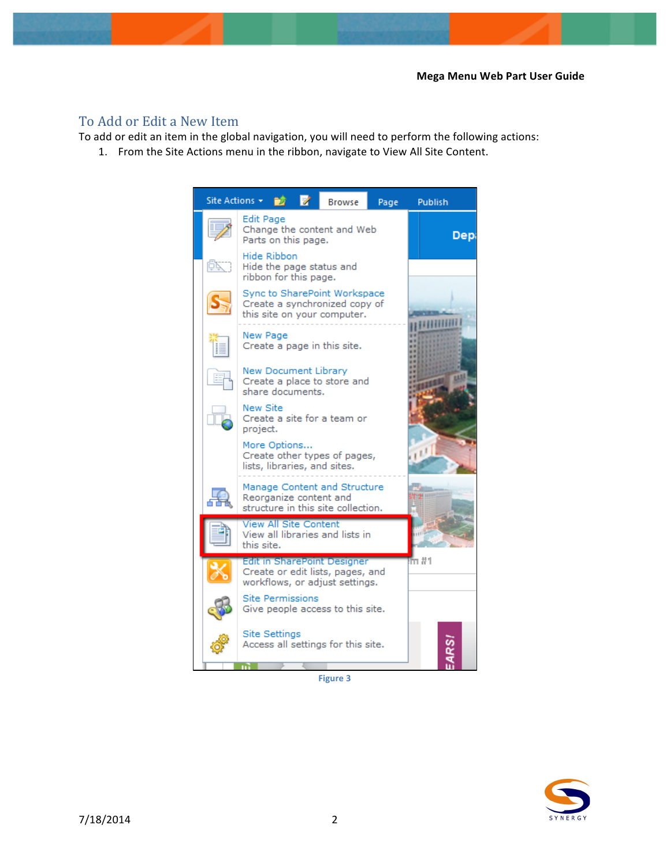## To Add or Edit a New Item

To add or edit an item in the global navigation, you will need to perform the following actions:

1. From the Site Actions menu in the ribbon, navigate to View All Site Content.



**Figure 3**

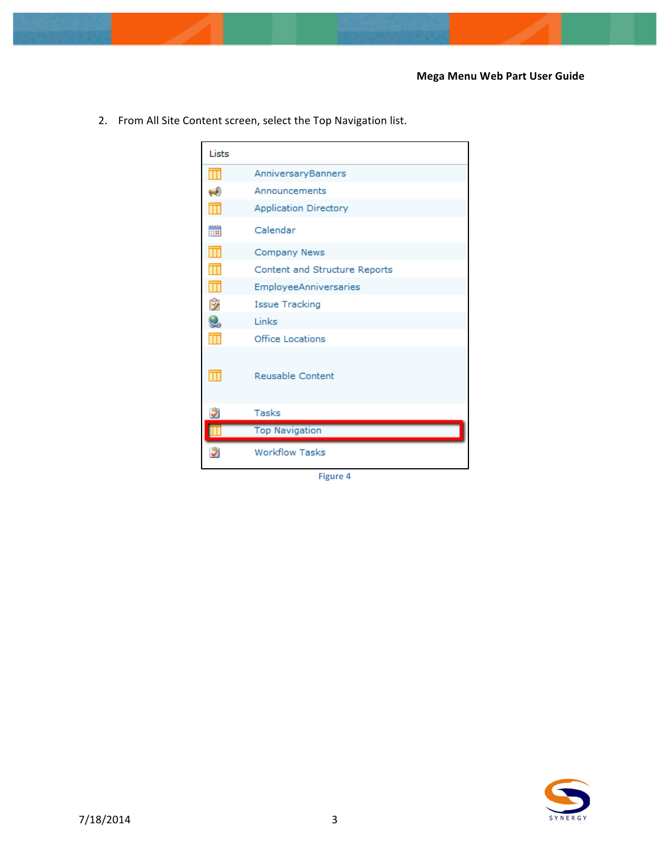- Lists  $\overline{\mathbf{H}}$ AnniversaryBanners  $\leftrightarrow$ Announcements Application Directory  $\blacksquare$ Calendar  $\overline{\mathbf{H}}$ Company News  $\overline{\mathbf{H}}$ Content and Structure Reports  $\overline{\mathbf{H}}$ EmployeeAnniversaries ø Issue Tracking 8 Links  $\overline{\mathbf{m}}$ Office Locations  $\overline{\mathbf{m}}$ Reusable Content Ż Tasks Ш **Top Navigation** Ż **Workflow Tasks**
- 2. From All Site Content screen, select the Top Navigation list.

**Figure 4** 

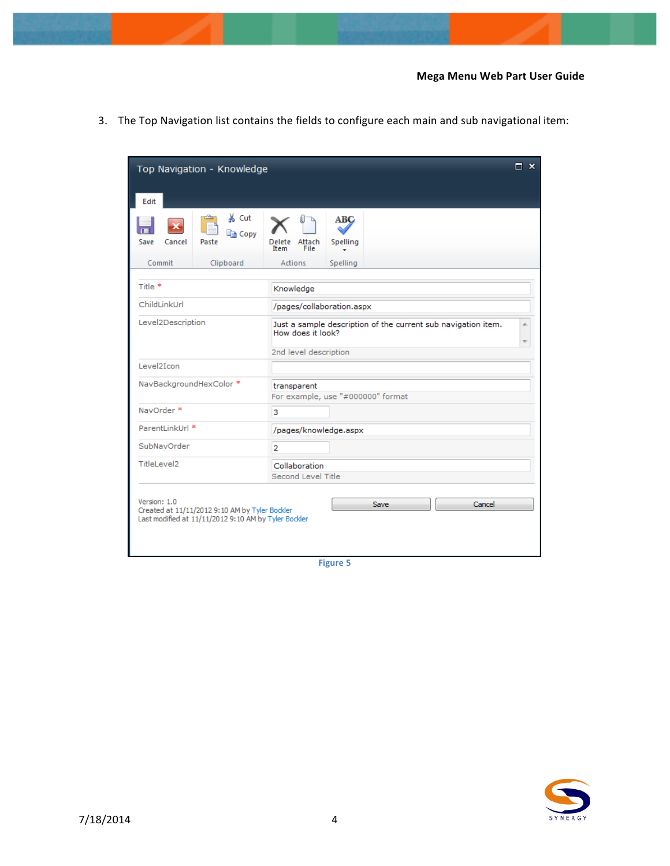| Top Navigation - Knowledge                                                                                             |                                                            |                                                                                    |        |  |  |  |  |
|------------------------------------------------------------------------------------------------------------------------|------------------------------------------------------------|------------------------------------------------------------------------------------|--------|--|--|--|--|
| Edit                                                                                                                   |                                                            |                                                                                    |        |  |  |  |  |
| Cancel<br>Save<br>Paste                                                                                                | & Cut<br>a Copy<br>Attach<br>Delete<br>File<br><b>Item</b> | ABC<br>Spelling                                                                    |        |  |  |  |  |
| Commit<br>Clipboard                                                                                                    | <b>Actions</b>                                             | Spelling                                                                           |        |  |  |  |  |
| Title <sup>*</sup>                                                                                                     | Knowledge                                                  |                                                                                    |        |  |  |  |  |
| ChildLinkUrl                                                                                                           | /pages/collaboration.aspx                                  |                                                                                    |        |  |  |  |  |
| Level2Description                                                                                                      |                                                            | Just a sample description of the current sub navigation item.<br>How does it look? |        |  |  |  |  |
| Level2Icon                                                                                                             |                                                            | 2nd level description                                                              |        |  |  |  |  |
| NavBackgroundHexColor *                                                                                                | transparent                                                | For example, use "#000000" format                                                  |        |  |  |  |  |
| NavOrder *                                                                                                             | 3                                                          |                                                                                    |        |  |  |  |  |
| ParentLinkUrl *                                                                                                        |                                                            | /pages/knowledge.aspx                                                              |        |  |  |  |  |
| SubNavOrder                                                                                                            | $\overline{2}$                                             |                                                                                    |        |  |  |  |  |
| TitleLevel2                                                                                                            |                                                            | Collaboration<br>Second Level Title                                                |        |  |  |  |  |
| Version: 1.0<br>Created at 11/11/2012 9:10 AM by Tyler Bockler<br>Last modified at 11/11/2012 9:10 AM by Tyler Bockler |                                                            | Save                                                                               | Cancel |  |  |  |  |

3. The Top Navigation list contains the fields to configure each main and sub navigational item:

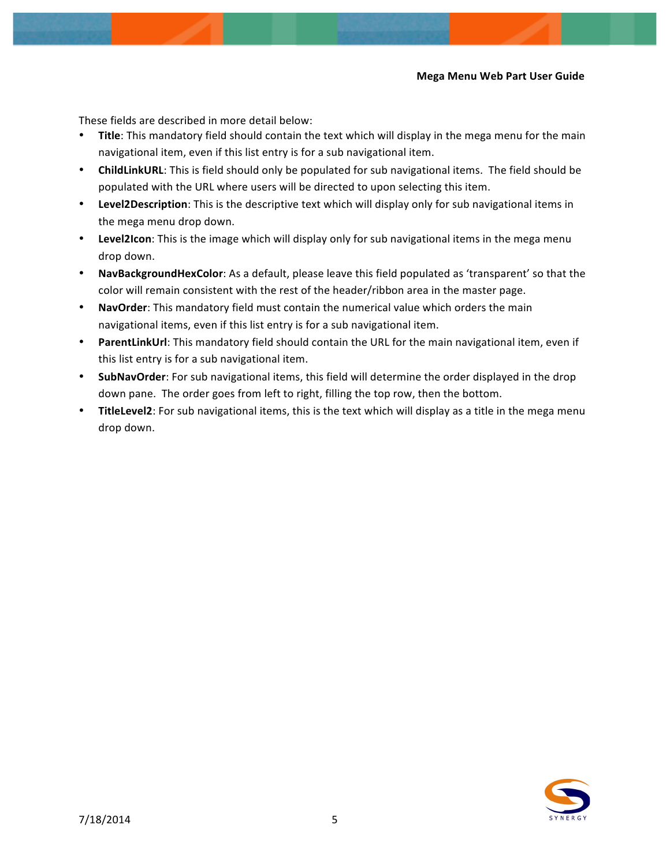## **Mega Menu Web Part User Guide**

These fields are described in more detail below:

- Title: This mandatory field should contain the text which will display in the mega menu for the main navigational item, even if this list entry is for a sub navigational item.
- **ChildLinkURL:** This is field should only be populated for sub navigational items. The field should be populated with the URL where users will be directed to upon selecting this item.
- Level2Description: This is the descriptive text which will display only for sub navigational items in the mega menu drop down.
- Level2Icon: This is the image which will display only for sub navigational items in the mega menu drop down.
- NavBackgroundHexColor: As a default, please leave this field populated as 'transparent' so that the color will remain consistent with the rest of the header/ribbon area in the master page.
- NavOrder: This mandatory field must contain the numerical value which orders the main navigational items, even if this list entry is for a sub navigational item.
- ParentLinkUrl: This mandatory field should contain the URL for the main navigational item, even if this list entry is for a sub navigational item.
- SubNavOrder: For sub navigational items, this field will determine the order displayed in the drop down pane. The order goes from left to right, filling the top row, then the bottom.
- **TitleLevel2**: For sub navigational items, this is the text which will display as a title in the mega menu drop down.

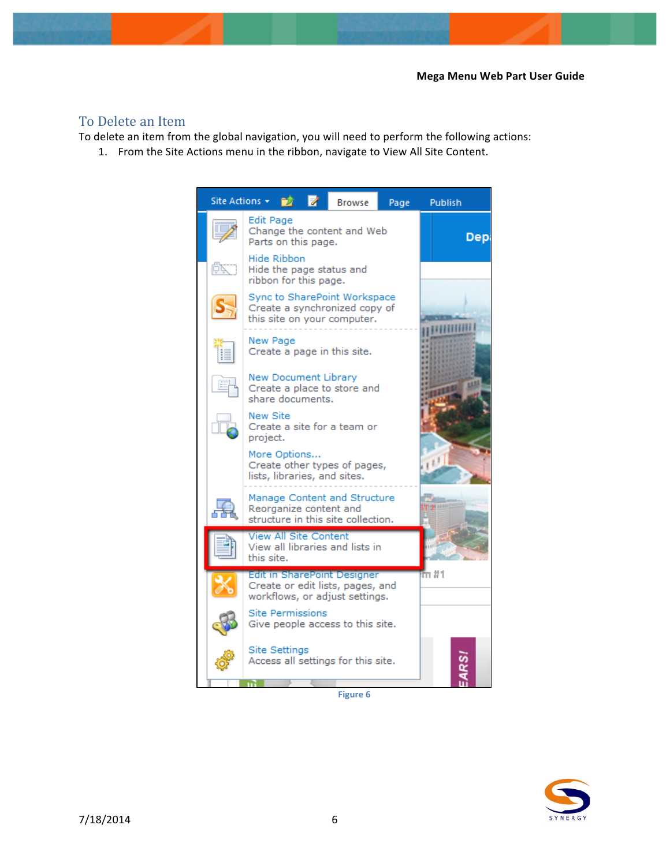## To Delete an Item

To delete an item from the global navigation, you will need to perform the following actions:

1. From the Site Actions menu in the ribbon, navigate to View All Site Content.



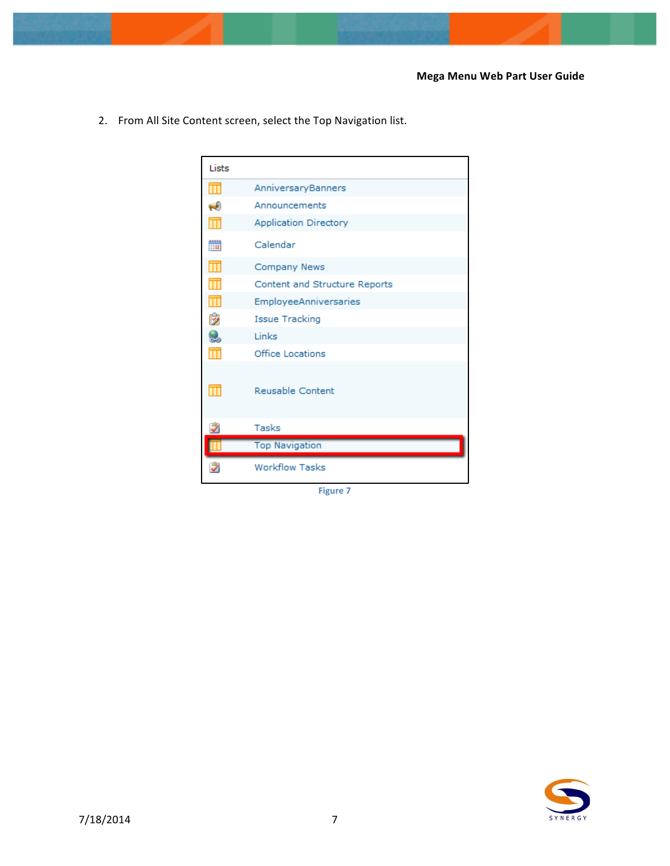- Lists  $\overline{\mathbf{m}}$ AnniversaryBanners  $\leftrightarrow$ Announcements  $\blacksquare$ **Application Directory** Calendar  $\overline{\mathbf{m}}$ Company News  $\overline{\mathbf{m}}$ Content and Structure Reports  $\overline{\mathbb{H}}$ EmployeeAnniversaries 咹 Issue Tracking 8 Links  $\overline{\mathbf{m}}$ Office Locations  $\overline{\mathbf{H}}$ Reusable Content Ż Tasks **Top Navigation**  $\blacksquare$ Ż **Workflow Tasks**
- 2. From All Site Content screen, select the Top Navigation list.

**Figure 7**

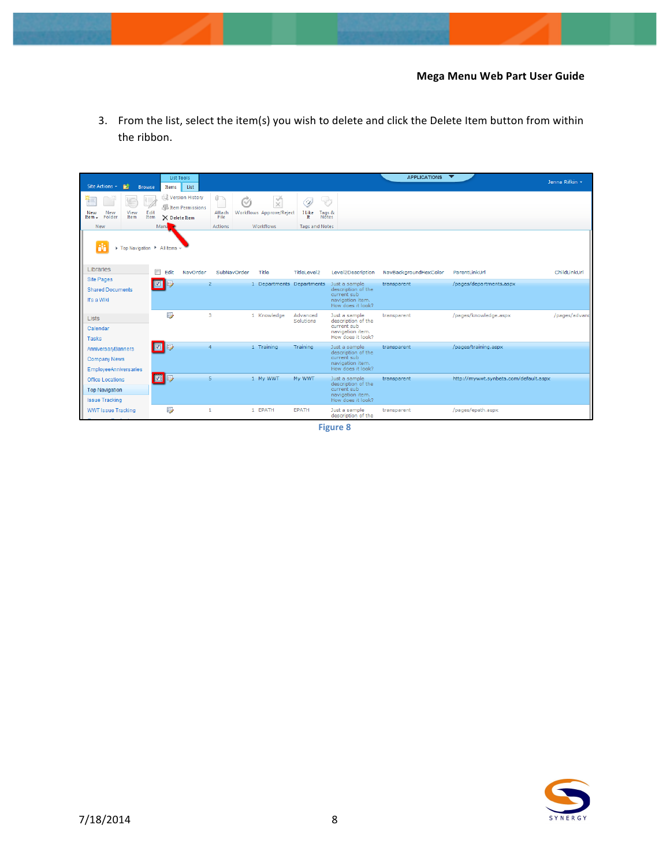3. From the list, select the item(s) you wish to delete and click the Delete Item button from within the ribbon.

| Site Actions<br>- PŽ<br><b>Browse</b>                                     | <b>List Tools</b><br>List<br>Items                                                   |                                           |                                                          |                                                                   |                                                                                             | <b>APPLICATIONS</b>                  | $\overline{\phantom{a}}$                 | Jenna Rifkin * |
|---------------------------------------------------------------------------|--------------------------------------------------------------------------------------|-------------------------------------------|----------------------------------------------------------|-------------------------------------------------------------------|---------------------------------------------------------------------------------------------|--------------------------------------|------------------------------------------|----------------|
| ×<br>n.<br>New<br>View<br><b>New</b><br>Item<br>Folder<br>Item -<br>New   | Version History<br><b>Extem Permissions</b><br>Edit<br>Item<br>X Delete Item<br>Mana | $0 -$<br>C/s<br>Attach<br>File<br>Actions | $\times$<br>Workflows Approve/Reject<br><b>Workflows</b> | ولہا<br>لرن<br>I Like<br>Tags &<br>Notes<br><b>Tags and Notes</b> |                                                                                             |                                      |                                          |                |
| ▶ Top Navigation ▶ All Items *<br>Libraries                               |                                                                                      |                                           |                                                          |                                                                   |                                                                                             |                                      |                                          |                |
| <b>Site Pages</b>                                                         | m<br>Edit<br>NavOrder                                                                | SubNavOrder<br>$\overline{2}$             | Title<br>1 Departments Departments                       | TitleLevel2                                                       | Level2Description<br>Just a sample                                                          | NavBackgroundHexColor<br>transparent | ParentLinkUrl<br>/pages/departments.aspx | ChildLinkUrl   |
| <b>Shared Documents</b><br>It's a Wiki                                    |                                                                                      |                                           |                                                          |                                                                   | description of the<br>current sub<br>navigation item.<br>How does it look?                  |                                      |                                          |                |
| <b>Lists</b><br>Calendar<br>Tasks                                         | $\mathbb{D}$                                                                         | 3                                         | 1 Knowledge                                              | Advanced<br>Solutions                                             | Just a sample<br>description of the<br>current sub<br>navigation item.<br>How does it look? | transparent                          | /pages/knowledge.aspx                    | /pages/advand  |
| AnniversarvBanners<br><b>Company News</b><br><b>EmployeeAnniversaries</b> | 5                                                                                    | 4                                         | 1 Training                                               | Training                                                          | Just a sample<br>description of the<br>current sub<br>navigation item.<br>How does it look? | transparent                          | /pages/training.aspx                     |                |
| <b>Office Locations</b><br><b>Top Navigation</b><br><b>Issue Tracking</b> | $\blacksquare$<br>B                                                                  | 5                                         | 1 My WWT                                                 | My WWT                                                            | Just a sample<br>description of the<br>current sub<br>navigation item.<br>How does it look? | transparent                          | http://mywwt.synbeta.com/default.aspx    |                |
| <b>WWT Issue Tracking</b>                                                 | $\Rightarrow$                                                                        | 1                                         | 1 EPATH                                                  | <b>EPATH</b>                                                      | Just a sample<br>description of the                                                         | transparent                          | /pages/epath.aspx                        |                |